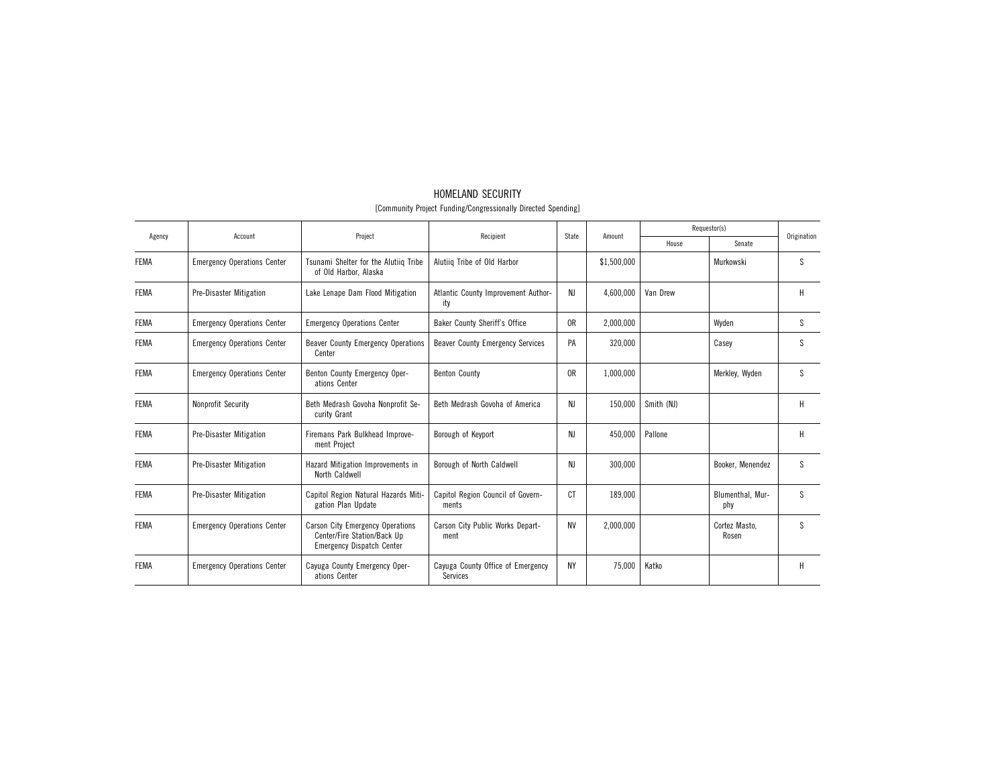| Agency      | Account                            | Project                                                                                                    | Recipient                                     | State          | Amount      |            | Requestor(s)            | Origination |
|-------------|------------------------------------|------------------------------------------------------------------------------------------------------------|-----------------------------------------------|----------------|-------------|------------|-------------------------|-------------|
|             |                                    |                                                                                                            |                                               |                |             | House      | Senate                  |             |
| <b>FEMA</b> | <b>Emergency Operations Center</b> | Tsunami Shelter for the Alutiiq Tribe<br>of Old Harbor, Alaska                                             | Alutiiq Tribe of Old Harbor                   |                | \$1,500,000 |            | Murkowski               | S.          |
| <b>FEMA</b> | <b>Pre-Disaster Mitigation</b>     | Lake Lenape Dam Flood Mitigation                                                                           | Atlantic County Improvement Author-<br>ity    | NJ             | 4,600,000   | Van Drew   |                         | H           |
| <b>FEMA</b> | <b>Emergency Operations Center</b> | <b>Emergency Operations Center</b>                                                                         | Baker County Sheriff's Office                 | 0R             | 2,000,000   |            | Wyden                   | S           |
| <b>FEMA</b> | <b>Emergency Operations Center</b> | <b>Beaver County Emergency Operations</b><br>Center                                                        | <b>Beaver County Emergency Services</b>       | PA             | 320.000     |            | Casev                   | S           |
| <b>FEMA</b> | <b>Emergency Operations Center</b> | Benton County Emergency Oper-<br>ations Center                                                             | <b>Benton County</b>                          | 0 <sub>R</sub> | 1,000,000   |            | Merkley, Wyden          | S           |
| <b>FEMA</b> | Nonprofit Security                 | Beth Medrash Govoha Nonprofit Se-<br>curity Grant                                                          | Beth Medrash Govoha of America                | NJ             | 150,000     | Smith (NJ) |                         | H           |
| <b>FEMA</b> | <b>Pre-Disaster Mitigation</b>     | Firemans Park Bulkhead Improve-<br>ment Project                                                            | Borough of Keyport                            | NJ             | 450,000     | Pallone    |                         | H           |
| <b>FEMA</b> | <b>Pre-Disaster Mitigation</b>     | Hazard Mitigation Improvements in<br>North Caldwell                                                        | Borough of North Caldwell                     | NJ             | 300,000     |            | Booker, Menendez        | S           |
| <b>FEMA</b> | Pre-Disaster Mitigation            | Capitol Region Natural Hazards Miti-<br>gation Plan Update                                                 | Capitol Region Council of Govern-<br>ments    | <sub>C</sub> T | 189.000     |            | Blumenthal, Mur-<br>phy | S           |
| <b>FEMA</b> | <b>Emergency Operations Center</b> | <b>Carson City Emergency Operations</b><br>Center/Fire Station/Back Up<br><b>Emergency Dispatch Center</b> | Carson City Public Works Depart-<br>ment      | <b>NV</b>      | 2.000.000   |            | Cortez Masto.<br>Rosen  | S           |
| <b>FEMA</b> | <b>Emergency Operations Center</b> | Cayuga County Emergency Oper-<br>ations Center                                                             | Cayuga County Office of Emergency<br>Services | <b>NY</b>      | 75,000      | Katko      |                         | H           |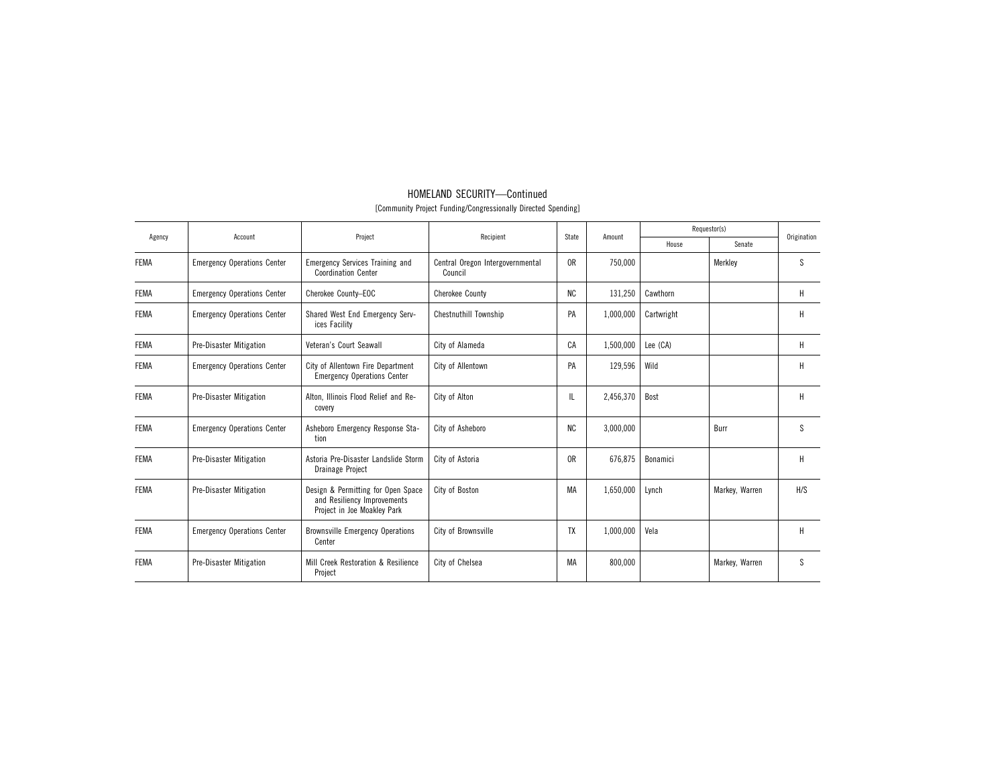| Agency      | Account                            | Project                                                                                          | Recipient                                   | State          | Amount    |            | Requestor(s)   | Origination  |
|-------------|------------------------------------|--------------------------------------------------------------------------------------------------|---------------------------------------------|----------------|-----------|------------|----------------|--------------|
|             |                                    |                                                                                                  |                                             |                |           | House      | Senate         |              |
| <b>FEMA</b> | <b>Emergency Operations Center</b> | <b>Emergency Services Training and</b><br><b>Coordination Center</b>                             | Central Oregon Intergovernmental<br>Council | 0 <sub>R</sub> | 750,000   |            | Merklev        | <sub>S</sub> |
| <b>FEMA</b> | <b>Emergency Operations Center</b> | Cherokee County-EOC                                                                              | <b>Cherokee County</b>                      | <b>NC</b>      | 131,250   | Cawthorn   |                | Н            |
| <b>FEMA</b> | <b>Emergency Operations Center</b> | Shared West End Emergency Serv-<br>ices Facility                                                 | <b>Chestnuthill Township</b>                | PA             | 1,000,000 | Cartwright |                | H            |
| <b>FEMA</b> | <b>Pre-Disaster Mitigation</b>     | Veteran's Court Seawall                                                                          | City of Alameda                             | CA             | 1,500,000 | Lee (CA)   |                | Н            |
| <b>FEMA</b> | <b>Emergency Operations Center</b> | City of Allentown Fire Department<br><b>Emergency Operations Center</b>                          | City of Allentown                           | PA             | 129,596   | Wild       |                | H            |
| <b>FEMA</b> | <b>Pre-Disaster Mitigation</b>     | Alton, Illinois Flood Relief and Re-<br>covery                                                   | City of Alton                               | IL             | 2,456,370 | Bost       |                | H            |
| <b>FEMA</b> | <b>Emergency Operations Center</b> | Asheboro Emergency Response Sta-<br>tion                                                         | City of Asheboro                            | <b>NC</b>      | 3,000,000 |            | Burr           | S            |
| <b>FEMA</b> | <b>Pre-Disaster Mitigation</b>     | Astoria Pre-Disaster Landslide Storm<br>Drainage Project                                         | City of Astoria                             | 0R             | 676,875   | Bonamici   |                | H            |
| <b>FEMA</b> | <b>Pre-Disaster Mitigation</b>     | Design & Permitting for Open Space<br>and Resiliency Improvements<br>Project in Joe Moakley Park | City of Boston                              | MA             | 1,650,000 | Lynch      | Markey, Warren | H/S          |
| <b>FEMA</b> | <b>Emergency Operations Center</b> | <b>Brownsville Emergency Operations</b><br>Center                                                | City of Brownsville                         | TX             | 1,000,000 | Vela       |                | H            |
| <b>FEMA</b> | <b>Pre-Disaster Mitigation</b>     | Mill Creek Restoration & Resilience<br>Project                                                   | City of Chelsea                             | МA             | 800,000   |            | Markey, Warren | S            |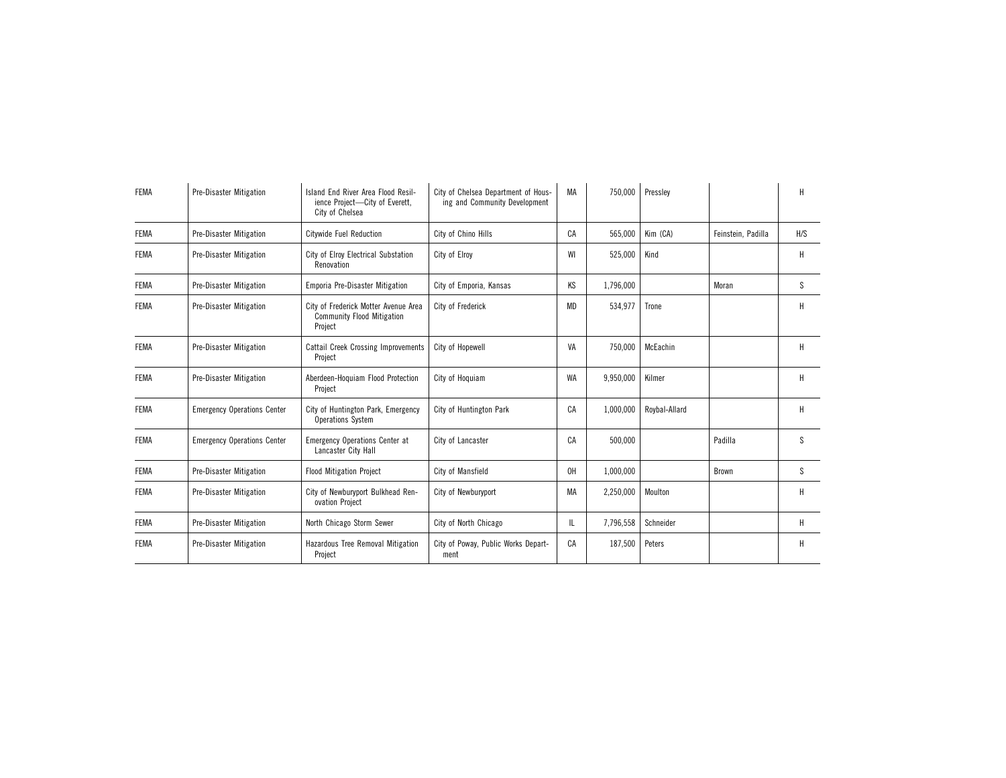| <b>FEMA</b> | <b>Pre-Disaster Mitigation</b>     | Island End River Area Flood Resil-<br>ience Project-City of Everett,<br>City of Chelsea | City of Chelsea Department of Hous-<br>ing and Community Development | МA | 750,000   | Pressley      |                    | Н            |
|-------------|------------------------------------|-----------------------------------------------------------------------------------------|----------------------------------------------------------------------|----|-----------|---------------|--------------------|--------------|
| <b>FEMA</b> | Pre-Disaster Mitigation            | <b>Citywide Fuel Reduction</b>                                                          | City of Chino Hills                                                  | CA | 565,000   | Kim (CA)      | Feinstein, Padilla | H/S          |
| <b>FEMA</b> | <b>Pre-Disaster Mitigation</b>     | City of Elroy Electrical Substation<br>Renovation                                       | City of Elroy                                                        | WI | 525,000   | Kind          |                    | Н            |
| <b>FEMA</b> | Pre-Disaster Mitigation            | Emporia Pre-Disaster Mitigation                                                         | City of Emporia, Kansas                                              | KS | 1,796,000 |               | Moran              | S            |
| <b>FEMA</b> | <b>Pre-Disaster Mitigation</b>     | City of Frederick Motter Avenue Area<br><b>Community Flood Mitigation</b><br>Project    | City of Frederick                                                    | MD | 534,977   | Trone         |                    | H            |
| <b>FEMA</b> | <b>Pre-Disaster Mitigation</b>     | <b>Cattail Creek Crossing Improvements</b><br>Project                                   | City of Hopewell                                                     | VA | 750,000   | McEachin      |                    | Н            |
| <b>FEMA</b> | <b>Pre-Disaster Mitigation</b>     | Aberdeen-Hoquiam Flood Protection<br>Project                                            | City of Hoquiam                                                      | WA | 9,950,000 | Kilmer        |                    | н            |
| <b>FEMA</b> | <b>Emergency Operations Center</b> | City of Huntington Park, Emergency<br><b>Operations System</b>                          | City of Huntington Park                                              | CA | 1,000,000 | Roybal-Allard |                    | Н            |
| <b>FEMA</b> | <b>Emergency Operations Center</b> | <b>Emergency Operations Center at</b><br>Lancaster City Hall                            | City of Lancaster                                                    | CA | 500.000   |               | Padilla            | <sub>S</sub> |
| <b>FEMA</b> | Pre-Disaster Mitigation            | <b>Flood Mitigation Project</b>                                                         | City of Mansfield                                                    | 0H | 1,000,000 |               | Brown              | <sub>S</sub> |
| <b>FEMA</b> | <b>Pre-Disaster Mitigation</b>     | City of Newburyport Bulkhead Ren-<br>ovation Project                                    | City of Newburyport                                                  | MA | 2,250,000 | Moulton       |                    | Н            |
| <b>FEMA</b> | <b>Pre-Disaster Mitigation</b>     | North Chicago Storm Sewer                                                               | City of North Chicago                                                | IL | 7,796,558 | Schneider     |                    | Н            |
| <b>FEMA</b> | <b>Pre-Disaster Mitigation</b>     | Hazardous Tree Removal Mitigation<br>Project                                            | City of Poway, Public Works Depart-<br>ment                          | CA | 187,500   | Peters        |                    | Н            |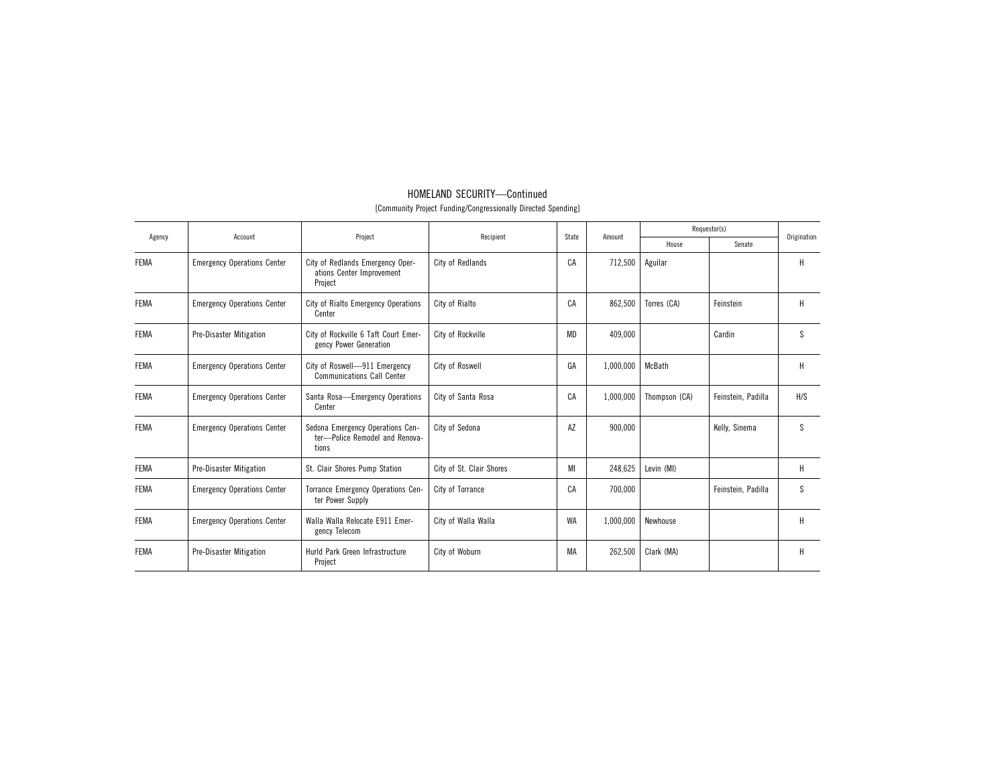| Agency      | Account                            | Project                                                                     | Recipient                | State | Amount    |               | Requestor(s)       | Origination |
|-------------|------------------------------------|-----------------------------------------------------------------------------|--------------------------|-------|-----------|---------------|--------------------|-------------|
|             |                                    |                                                                             |                          |       |           | House         | Senate             |             |
| <b>FEMA</b> | <b>Emergency Operations Center</b> | City of Redlands Emergency Oper-<br>ations Center Improvement<br>Project    | City of Redlands         | CA    | 712,500   | Aguilar       |                    | н           |
| <b>FEMA</b> | <b>Emergency Operations Center</b> | City of Rialto Emergency Operations<br>Center                               | City of Rialto           | CA    | 862,500   | Torres (CA)   | Feinstein          | H           |
| <b>FEMA</b> | <b>Pre-Disaster Mitigation</b>     | City of Rockville 6 Taft Court Emer-<br>gency Power Generation              | City of Rockville        | MD    | 409.000   |               | Cardin             | S           |
| <b>FEMA</b> | <b>Emergency Operations Center</b> | City of Roswell-911 Emergency<br><b>Communications Call Center</b>          | City of Roswell          | GA    | 1,000,000 | McBath        |                    | н           |
| <b>FEMA</b> | <b>Emergency Operations Center</b> | Santa Rosa-Emergency Operations<br>Center                                   | City of Santa Rosa       | CA    | 1,000,000 | Thompson (CA) | Feinstein, Padilla | H/S         |
| <b>FEMA</b> | <b>Emergency Operations Center</b> | Sedona Emergency Operations Cen-<br>ter-Police Remodel and Renova-<br>tions | City of Sedona           | AZ    | 900,000   |               | Kelly, Sinema      | S           |
| <b>FEMA</b> | <b>Pre-Disaster Mitigation</b>     | St. Clair Shores Pump Station                                               | City of St. Clair Shores | МI    | 248,625   | Levin (MI)    |                    | Н           |
| <b>FEMA</b> | <b>Emergency Operations Center</b> | Torrance Emergency Operations Cen-<br>ter Power Supply                      | City of Torrance         | CA    | 700.000   |               | Feinstein, Padilla | S           |
| <b>FEMA</b> | <b>Emergency Operations Center</b> | Walla Walla Relocate E911 Emer-<br>gency Telecom                            | City of Walla Walla      | WA    | 1,000,000 | Newhouse      |                    | Н           |
| <b>FEMA</b> | <b>Pre-Disaster Mitigation</b>     | Hurld Park Green Infrastructure<br>Project                                  | City of Woburn           | МA    | 262,500   | Clark (MA)    |                    | H           |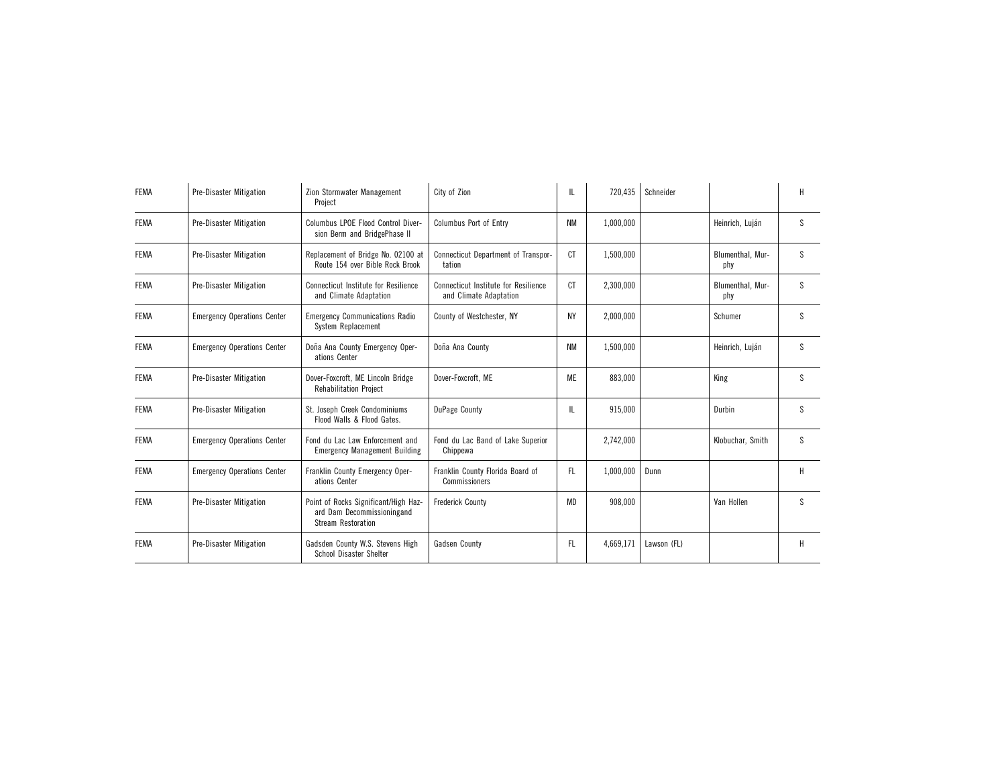| <b>FEMA</b> | <b>Pre-Disaster Mitigation</b>     | Zion Stormwater Management<br>Project                                                           | City of Zion                                                   | IL        | 720,435   | Schneider   |                         | H |
|-------------|------------------------------------|-------------------------------------------------------------------------------------------------|----------------------------------------------------------------|-----------|-----------|-------------|-------------------------|---|
| <b>FEMA</b> | <b>Pre-Disaster Mitigation</b>     | Columbus LPOE Flood Control Diver-<br>sion Berm and BridgePhase II                              | Columbus Port of Entry                                         | <b>NM</b> | 1,000,000 |             | Heinrich, Luján         | S |
| <b>FEMA</b> | <b>Pre-Disaster Mitigation</b>     | Replacement of Bridge No. 02100 at<br>Route 154 over Bible Rock Brook                           | Connecticut Department of Transpor-<br>tation                  | CT        | 1,500,000 |             | Blumenthal, Mur-<br>phy | S |
| <b>FEMA</b> | <b>Pre-Disaster Mitigation</b>     | <b>Connecticut Institute for Resilience</b><br>and Climate Adaptation                           | Connecticut Institute for Resilience<br>and Climate Adaptation | CT        | 2,300,000 |             | Blumenthal, Mur-<br>phy | S |
| <b>FEMA</b> | <b>Emergency Operations Center</b> | <b>Emergency Communications Radio</b><br>System Replacement                                     | County of Westchester, NY                                      | <b>NY</b> | 2,000,000 |             | Schumer                 | S |
| <b>FEMA</b> | <b>Emergency Operations Center</b> | Doña Ana County Emergency Oper-<br>ations Center                                                | Doña Ana County                                                | <b>NM</b> | 1,500,000 |             | Heinrich, Luján         | S |
| <b>FEMA</b> | <b>Pre-Disaster Mitigation</b>     | Dover-Foxcroft, ME Lincoln Bridge<br><b>Rehabilitation Project</b>                              | Dover-Foxcroft, ME                                             | ME        | 883.000   |             | King                    | S |
| <b>FEMA</b> | <b>Pre-Disaster Mitigation</b>     | St. Joseph Creek Condominiums<br>Flood Walls & Flood Gates.                                     | DuPage County                                                  | IL        | 915,000   |             | Durbin                  | S |
| <b>FEMA</b> | <b>Emergency Operations Center</b> | Fond du Lac Law Enforcement and<br><b>Emergency Management Building</b>                         | Fond du Lac Band of Lake Superior<br>Chippewa                  |           | 2,742,000 |             | Klobuchar, Smith        | S |
| <b>FEMA</b> | <b>Emergency Operations Center</b> | Franklin County Emergency Oper-<br>ations Center                                                | Franklin County Florida Board of<br>Commissioners              | FL.       | 1,000,000 | Dunn        |                         | H |
| <b>FEMA</b> | <b>Pre-Disaster Mitigation</b>     | Point of Rocks Significant/High Haz-<br>ard Dam Decommissioningand<br><b>Stream Restoration</b> | <b>Frederick County</b>                                        | MD        | 908.000   |             | Van Hollen              | S |
| <b>FEMA</b> | <b>Pre-Disaster Mitigation</b>     | Gadsden County W.S. Stevens High<br>School Disaster Shelter                                     | Gadsen County                                                  | FL        | 4,669,171 | Lawson (FL) |                         | H |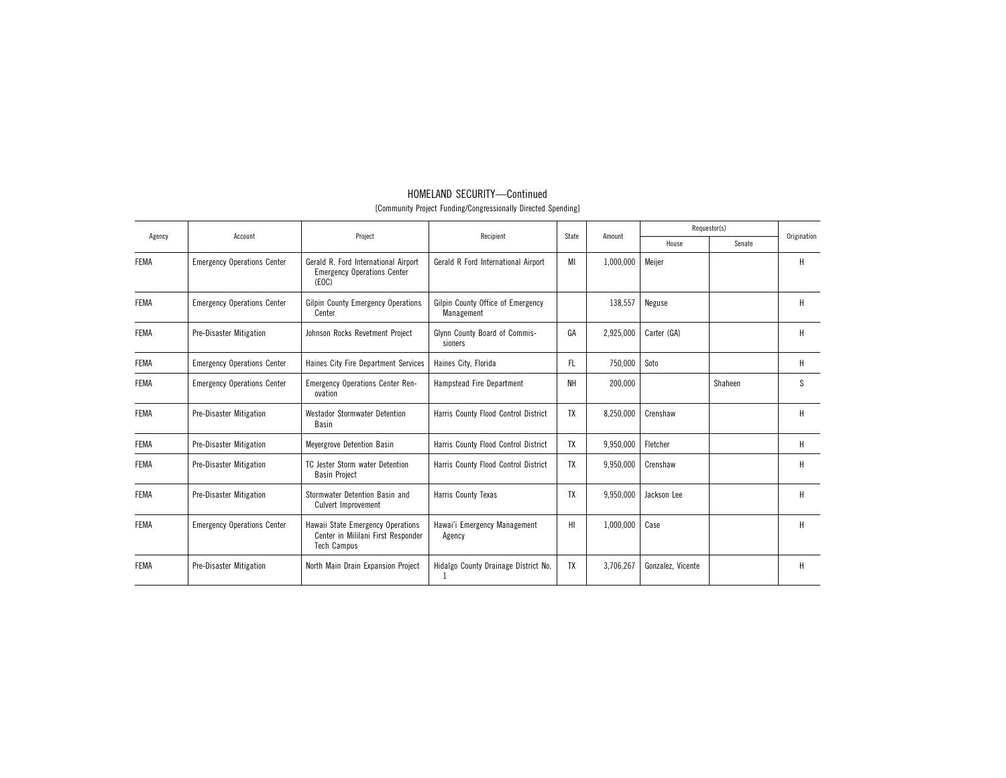| Agency      | Account                            | Project                                                                                       | Recipient                                       | State     | Amount    |                   | Requestor(s) | Origination |
|-------------|------------------------------------|-----------------------------------------------------------------------------------------------|-------------------------------------------------|-----------|-----------|-------------------|--------------|-------------|
|             |                                    |                                                                                               |                                                 |           |           | House             | Senate       |             |
| <b>FEMA</b> | <b>Emergency Operations Center</b> | Gerald R. Ford International Airport<br><b>Emergency Operations Center</b><br>(EOC)           | Gerald R Ford International Airport             | MI        | 1,000,000 | Meiier            |              | н           |
| <b>FEMA</b> | <b>Emergency Operations Center</b> | Gilpin County Emergency Operations<br>Center                                                  | Gilpin County Office of Emergency<br>Management |           | 138,557   | Neguse            |              | Н           |
| <b>FEMA</b> | <b>Pre-Disaster Mitigation</b>     | Johnson Rocks Revetment Project                                                               | Glynn County Board of Commis-<br>sioners        | GA        | 2,925,000 | Carter (GA)       |              | н           |
| <b>FEMA</b> | <b>Emergency Operations Center</b> | Haines City Fire Department Services                                                          | Haines City, Florida                            | FL.       | 750,000   | Soto              |              | Н           |
| <b>FEMA</b> | <b>Emergency Operations Center</b> | <b>Emergency Operations Center Ren-</b><br>ovation                                            | Hampstead Fire Department                       | NH        | 200.000   |                   | Shaheen      | S           |
| <b>FEMA</b> | <b>Pre-Disaster Mitigation</b>     | <b>Westador Stormwater Detention</b><br>Basin                                                 | Harris County Flood Control District            | TX        | 8,250,000 | Crenshaw          |              | н           |
| <b>FEMA</b> | <b>Pre-Disaster Mitigation</b>     | Meyergrove Detention Basin                                                                    | Harris County Flood Control District            | <b>TX</b> | 9,950,000 | Fletcher          |              | н           |
| <b>FEMA</b> | <b>Pre-Disaster Mitigation</b>     | TC Jester Storm water Detention<br><b>Basin Project</b>                                       | Harris County Flood Control District            | TX        | 9.950.000 | Crenshaw          |              | Н           |
| <b>FEMA</b> | <b>Pre-Disaster Mitigation</b>     | Stormwater Detention Basin and<br>Culvert Improvement                                         | Harris County Texas                             | TX        | 9,950,000 | Jackson Lee       |              | Н           |
| <b>FEMA</b> | <b>Emergency Operations Center</b> | Hawaii State Emergency Operations<br>Center in Mililani First Responder<br><b>Tech Campus</b> | Hawai'i Emergency Management<br>Agency          | HI        | 1,000,000 | Case              |              | Н           |
| <b>FEMA</b> | <b>Pre-Disaster Mitigation</b>     | North Main Drain Expansion Project                                                            | Hidalgo County Drainage District No.            | TX        | 3,706,267 | Gonzalez, Vicente |              | H           |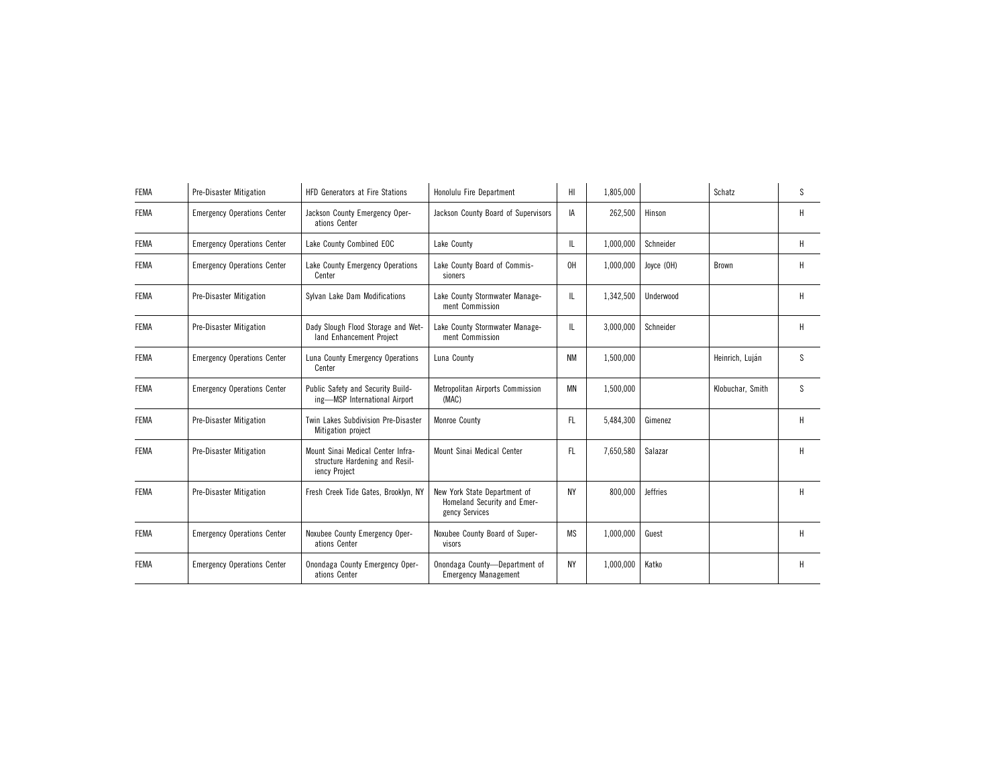| <b>FEMA</b> | <b>Pre-Disaster Mitigation</b>     | <b>HFD Generators at Fire Stations</b>                                               | Honolulu Fire Department                                                      | HI        | 1,805,000 |                 | Schatz           | S            |
|-------------|------------------------------------|--------------------------------------------------------------------------------------|-------------------------------------------------------------------------------|-----------|-----------|-----------------|------------------|--------------|
| <b>FEMA</b> | <b>Emergency Operations Center</b> | Jackson County Emergency Oper-<br>ations Center                                      | Jackson County Board of Supervisors                                           | IA        | 262,500   | Hinson          |                  | н            |
| <b>FEMA</b> | <b>Emergency Operations Center</b> | Lake County Combined EOC                                                             | Lake County                                                                   | IL        | 1,000,000 | Schneider       |                  | H            |
| <b>FEMA</b> | <b>Emergency Operations Center</b> | Lake County Emergency Operations<br>Center                                           | Lake County Board of Commis-<br>sioners                                       | 0H        | 1,000,000 | Joyce (OH)      | Brown            | Н            |
| <b>FEMA</b> | <b>Pre-Disaster Mitigation</b>     | Sylvan Lake Dam Modifications                                                        | Lake County Stormwater Manage-<br>ment Commission                             | IL        | 1,342,500 | Underwood       |                  | Н            |
| <b>FEMA</b> | <b>Pre-Disaster Mitigation</b>     | Dady Slough Flood Storage and Wet-<br>land Enhancement Project                       | Lake County Stormwater Manage-<br>ment Commission                             | IL        | 3,000,000 | Schneider       |                  | H            |
| <b>FEMA</b> | <b>Emergency Operations Center</b> | Luna County Emergency Operations<br>Center                                           | Luna County                                                                   | <b>NM</b> | 1.500.000 |                 | Heinrich, Luján  | <sub>S</sub> |
| <b>FEMA</b> | <b>Emergency Operations Center</b> | Public Safety and Security Build-<br>ing-MSP International Airport                   | Metropolitan Airports Commission<br>(MAC)                                     | MN        | 1,500,000 |                 | Klobuchar, Smith | <sub>S</sub> |
| <b>FEMA</b> | <b>Pre-Disaster Mitigation</b>     | Twin Lakes Subdivision Pre-Disaster<br>Mitigation project                            | Monroe County                                                                 | FL.       | 5,484,300 | Gimenez         |                  | H            |
| <b>FEMA</b> | <b>Pre-Disaster Mitigation</b>     | Mount Sinai Medical Center Infra-<br>structure Hardening and Resil-<br>iency Project | Mount Sinai Medical Center                                                    | FL.       | 7,650,580 | Salazar         |                  | H            |
| <b>FEMA</b> | <b>Pre-Disaster Mitigation</b>     | Fresh Creek Tide Gates, Brooklyn, NY                                                 | New York State Department of<br>Homeland Security and Emer-<br>gency Services | <b>NY</b> | 800,000   | <b>Jeffries</b> |                  | H            |
| <b>FEMA</b> | <b>Emergency Operations Center</b> | Noxubee County Emergency Oper-<br>ations Center                                      | Noxubee County Board of Super-<br>visors                                      | MS        | 1,000,000 | Guest           |                  | н            |
| <b>FEMA</b> | <b>Emergency Operations Center</b> | Onondaga County Emergency Oper-<br>ations Center                                     | Onondaga County-Department of<br><b>Emergency Management</b>                  | <b>NY</b> | 1,000,000 | Katko           |                  | H            |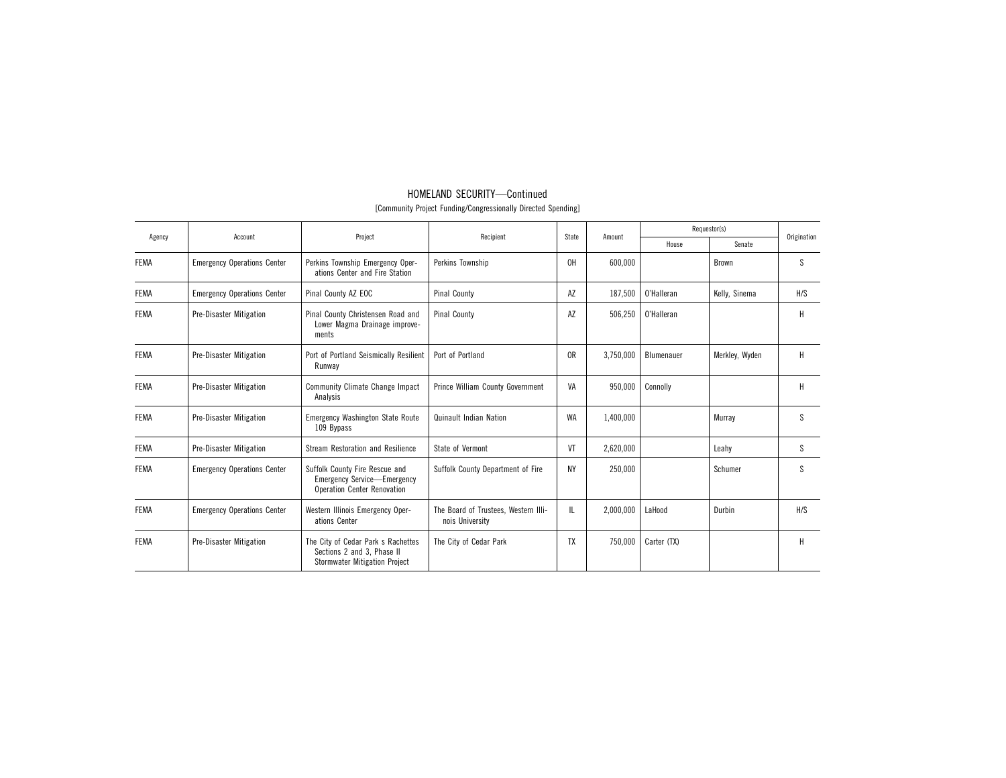| Agency      | Account                            | Project                                                                                                    | Recipient                                               | State          | Amount    |             | Requestor(s)   | Origination |
|-------------|------------------------------------|------------------------------------------------------------------------------------------------------------|---------------------------------------------------------|----------------|-----------|-------------|----------------|-------------|
|             |                                    |                                                                                                            |                                                         |                |           | House       | Senate         |             |
| <b>FEMA</b> | <b>Emergency Operations Center</b> | Perkins Township Emergency Oper-<br>ations Center and Fire Station                                         | Perkins Township                                        | 0H             | 600.000   |             | <b>Brown</b>   | S           |
| <b>FEMA</b> | <b>Emergency Operations Center</b> | Pinal County AZ EOC                                                                                        | <b>Pinal County</b>                                     | AZ             | 187,500   | O'Halleran  | Kelly, Sinema  | H/S         |
| <b>FEMA</b> | <b>Pre-Disaster Mitigation</b>     | Pinal County Christensen Road and<br>Lower Magma Drainage improve-<br>ments                                | Pinal County                                            | AZ             | 506,250   | 0'Halleran  |                | Н           |
| <b>FEMA</b> | <b>Pre-Disaster Mitigation</b>     | Port of Portland Seismically Resilient<br>Runway                                                           | Port of Portland                                        | 0 <sub>R</sub> | 3,750,000 | Blumenauer  | Merkley, Wyden | H           |
| <b>FEMA</b> | <b>Pre-Disaster Mitigation</b>     | <b>Community Climate Change Impact</b><br>Analysis                                                         | Prince William County Government                        | VA             | 950,000   | Connolly    |                | H           |
| <b>FEMA</b> | <b>Pre-Disaster Mitigation</b>     | <b>Emergency Washington State Route</b><br>109 Bypass                                                      | Quinault Indian Nation                                  | <b>WA</b>      | 1,400,000 |             | Murray         | S           |
| <b>FEMA</b> | <b>Pre-Disaster Mitigation</b>     | Stream Restoration and Resilience                                                                          | State of Vermont                                        | VT             | 2,620,000 |             | Leahy          | S           |
| <b>FEMA</b> | <b>Emergency Operations Center</b> | Suffolk County Fire Rescue and<br><b>Emergency Service-Emergency</b><br><b>Operation Center Renovation</b> | Suffolk County Department of Fire                       | <b>NY</b>      | 250,000   |             | Schumer        | S           |
| <b>FEMA</b> | <b>Emergency Operations Center</b> | Western Illinois Emergency Oper-<br>ations Center                                                          | The Board of Trustees, Western Illi-<br>nois University | IL             | 2,000,000 | LaHood      | Durbin         | H/S         |
| <b>FEMA</b> | <b>Pre-Disaster Mitigation</b>     | The City of Cedar Park s Rachettes<br>Sections 2 and 3, Phase II<br><b>Stormwater Mitigation Project</b>   | The City of Cedar Park                                  | TX             | 750,000   | Carter (TX) |                | H           |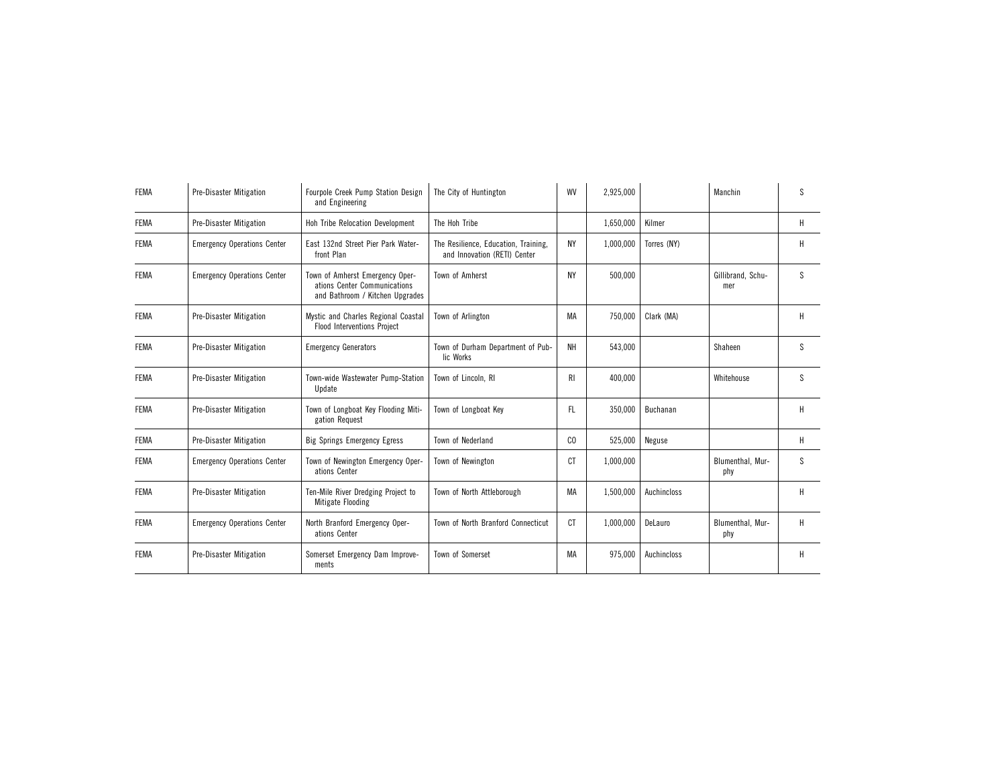| <b>FEMA</b> | <b>Pre-Disaster Mitigation</b>     | Fourpole Creek Pump Station Design<br>and Engineering                                              | The City of Huntington                                               | WV        | 2,925,000 |             | Manchin                  | S            |
|-------------|------------------------------------|----------------------------------------------------------------------------------------------------|----------------------------------------------------------------------|-----------|-----------|-------------|--------------------------|--------------|
| <b>FEMA</b> | <b>Pre-Disaster Mitigation</b>     | Hoh Tribe Relocation Development                                                                   | The Hoh Tribe                                                        |           | 1,650,000 | Kilmer      |                          | H            |
| <b>FEMA</b> | <b>Emergency Operations Center</b> | East 132nd Street Pier Park Water-<br>front Plan                                                   | The Resilience, Education, Training,<br>and Innovation (RETI) Center | <b>NY</b> | 1,000,000 | Torres (NY) |                          | Н            |
| <b>FEMA</b> | <b>Emergency Operations Center</b> | Town of Amherst Emergency Oper-<br>ations Center Communications<br>and Bathroom / Kitchen Upgrades | Town of Amherst                                                      | NY        | 500,000   |             | Gillibrand, Schu-<br>mer | <sub>S</sub> |
| <b>FEMA</b> | <b>Pre-Disaster Mitigation</b>     | Mystic and Charles Regional Coastal<br><b>Flood Interventions Project</b>                          | Town of Arlington                                                    | МA        | 750,000   | Clark (MA)  |                          | Н            |
| <b>FEMA</b> | <b>Pre-Disaster Mitigation</b>     | <b>Emergency Generators</b>                                                                        | Town of Durham Department of Pub-<br>lic Works                       | NH        | 543.000   |             | Shaheen                  | S            |
| <b>FEMA</b> | <b>Pre-Disaster Mitigation</b>     | Town-wide Wastewater Pump-Station<br>Update                                                        | Town of Lincoln, RI                                                  | RI        | 400.000   |             | Whitehouse               | S            |
| <b>FEMA</b> | <b>Pre-Disaster Mitigation</b>     | Town of Longboat Key Flooding Miti-<br>gation Request                                              | Town of Longboat Key                                                 | FL        | 350,000   | Buchanan    |                          | Н            |
| <b>FEMA</b> | <b>Pre-Disaster Mitigation</b>     | <b>Big Springs Emergency Egress</b>                                                                | Town of Nederland                                                    | CO        | 525,000   | Neguse      |                          | H            |
| <b>FEMA</b> | <b>Emergency Operations Center</b> | Town of Newington Emergency Oper-<br>ations Center                                                 | Town of Newington                                                    | СT        | 1,000,000 |             | Blumenthal, Mur-<br>phy  | S            |
| <b>FEMA</b> | <b>Pre-Disaster Mitigation</b>     | Ten-Mile River Dredging Project to<br>Mitigate Flooding                                            | Town of North Attleborough                                           | МA        | 1,500,000 | Auchincloss |                          | H            |
| <b>FEMA</b> | <b>Emergency Operations Center</b> | North Branford Emergency Oper-<br>ations Center                                                    | Town of North Branford Connecticut                                   | СT        | 1,000,000 | DeLauro     | Blumenthal, Mur-<br>phy  | H            |
| <b>FEMA</b> | <b>Pre-Disaster Mitigation</b>     | Somerset Emergency Dam Improve-<br>ments                                                           | Town of Somerset                                                     | МA        | 975,000   | Auchincloss |                          | н            |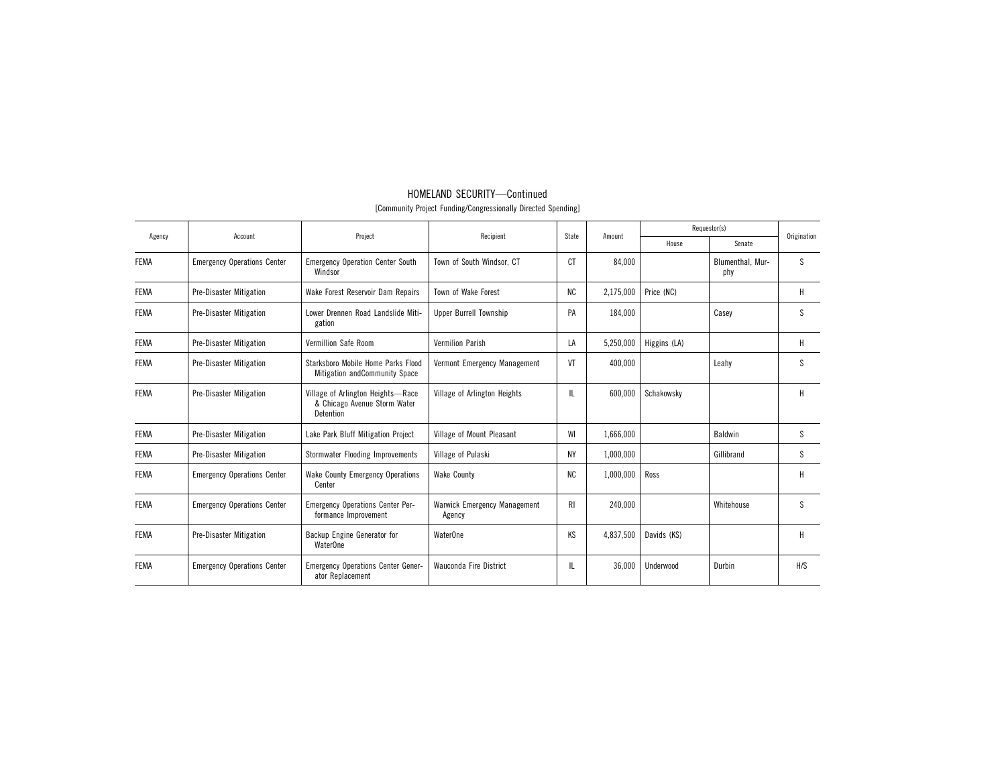| Agency      | Account                            | Project                                                                        | Recipient                                     | State          | Amount    |              | Requestor(s)            | Origination  |
|-------------|------------------------------------|--------------------------------------------------------------------------------|-----------------------------------------------|----------------|-----------|--------------|-------------------------|--------------|
|             |                                    |                                                                                |                                               |                |           | House        | Senate                  |              |
| <b>FEMA</b> | <b>Emergency Operations Center</b> | <b>Emergency Operation Center South</b><br>Windsor                             | Town of South Windsor, CT                     | <sub>C</sub> T | 84.000    |              | Blumenthal, Mur-<br>phy | <sub>S</sub> |
| <b>FEMA</b> | Pre-Disaster Mitigation            | Wake Forest Reservoir Dam Repairs                                              | Town of Wake Forest                           | <b>NC</b>      | 2,175,000 | Price (NC)   |                         | Н            |
| <b>FEMA</b> | <b>Pre-Disaster Mitigation</b>     | Lower Drennen Road Landslide Miti-<br>gation                                   | <b>Upper Burrell Township</b>                 | PA             | 184,000   |              | Casey                   | <sub>S</sub> |
| <b>FEMA</b> | <b>Pre-Disaster Mitigation</b>     | Vermillion Safe Room                                                           | <b>Vermilion Parish</b>                       | LA             | 5,250,000 | Higgins (LA) |                         | Н            |
| <b>FEMA</b> | <b>Pre-Disaster Mitigation</b>     | Starksboro Mobile Home Parks Flood<br>Mitigation and Community Space           | Vermont Emergency Management                  | VT             | 400.000   |              | Leahv                   | <sub>S</sub> |
| <b>FEMA</b> | <b>Pre-Disaster Mitigation</b>     | Village of Arlington Heights-Race<br>& Chicago Avenue Storm Water<br>Detention | Village of Arlington Heights                  | IL             | 600,000   | Schakowsky   |                         | H            |
| <b>FEMA</b> | <b>Pre-Disaster Mitigation</b>     | Lake Park Bluff Mitigation Project                                             | Village of Mount Pleasant                     | WI             | 1,666,000 |              | Baldwin                 | S            |
| <b>FEMA</b> | <b>Pre-Disaster Mitigation</b>     | Stormwater Flooding Improvements                                               | Village of Pulaski                            | <b>NY</b>      | 1,000,000 |              | Gillibrand              | S            |
| <b>FEMA</b> | <b>Emergency Operations Center</b> | <b>Wake County Emergency Operations</b><br>Center                              | <b>Wake County</b>                            | <b>NC</b>      | 1,000,000 | Ross         |                         | H            |
| <b>FEMA</b> | <b>Emergency Operations Center</b> | <b>Emergency Operations Center Per-</b><br>formance Improvement                | <b>Warwick Emergency Management</b><br>Agency | RI.            | 240.000   |              | Whitehouse              | <sub>S</sub> |
| <b>FEMA</b> | <b>Pre-Disaster Mitigation</b>     | Backup Engine Generator for<br><b>WaterOne</b>                                 | <b>WaterOne</b>                               | KS             | 4,837,500 | Davids (KS)  |                         | H            |
| <b>FEMA</b> | <b>Emergency Operations Center</b> | <b>Emergency Operations Center Gener-</b><br>ator Replacement                  | <b>Wauconda Fire District</b>                 | IL             | 36.000    | Underwood    | Durbin                  | H/S          |